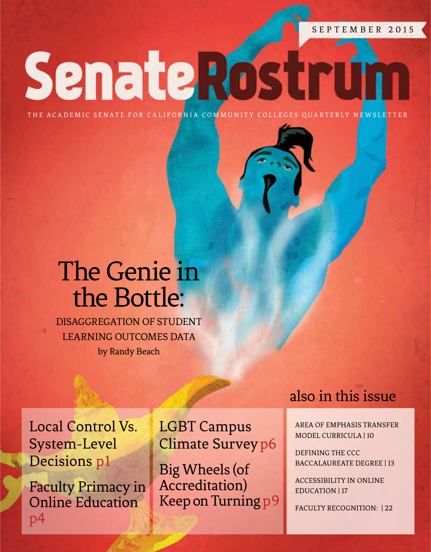SEPTEMBER 2015

**Senate Rostrufi** 

THE ACADEMIC SENATE FOR CALIFORNIA COMMUNITY COLLEGES QUARTERLY NEWSLETTER

# The Genie in the Bottle:

Disaggregation of Student LEARNING OUTCOMES DATA by Randy Beach

Local Control Vs. System-Level Decisions p1

Faculty Primacy in Online Education p4

LGBT Campus Climate Surveyp6

Big Wheels (of Accreditation) Keep on Turning p9

### also in this issue

Area of emphasis [Transfer](#page-10-0)  [Model Curricula | 10](#page-10-0)

[Defining the CCC](#page-13-0) [Baccalaureate Degree | 13](#page-13-0)

[Accessibility in Online](#page-17-0)  [Education | 17](#page-17-0)

[Faculty Recognition: | 22](#page-22-0)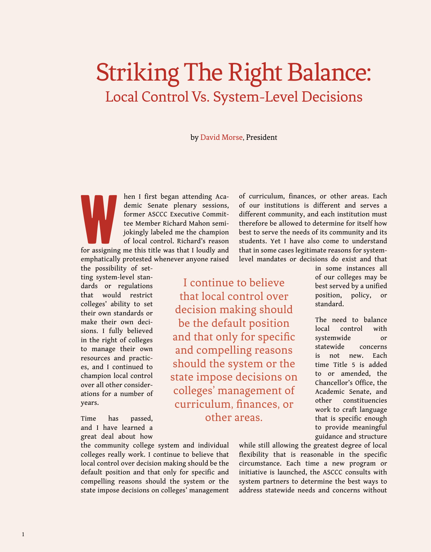# Striking The Right Balance: Local Control Vs. System-Level Decisions

by David Morse, President

W hen I first began attending Academic Senate plenary sessions, former ASCCC Executive Committee Member Richard Mahon semijokingly labeled me the champion of local control. Richard's reason for assigning me this title was that I loudly and

emphatically protested whenever anyone raised the possibility of set-

ting system-level standards or regulations that would restrict colleges' ability to set their own standards or make their own decisions. I fully believed in the right of colleges to manage their own resources and practices, and I continued to champion local control over all other considerations for a number of years.

Time has passed, and I have learned a great deal about how

the community college system and individual colleges really work. I continue to believe that local control over decision making should be the default position and that only for specific and compelling reasons should the system or the state impose decisions on colleges' management of curriculum, finances, or other areas. Each of our institutions is different and serves a different community, and each institution must therefore be allowed to determine for itself how best to serve the needs of its community and its students. Yet I have also come to understand that in some cases legitimate reasons for systemlevel mandates or decisions do exist and that

I continue to believe that local control over decision making should be the default position and that only for specific and compelling reasons should the system or the state impose decisions on colleges' management of curriculum, finances, or other areas.

in some instances all of our colleges may be best served by a unified position, policy, or standard.

The need to balance local control with systemwide or statewide concerns is not new. Each time Title 5 is added to or amended, the Chancellor's Office, the Academic Senate, and other constituencies work to craft language that is specific enough to provide meaningful guidance and structure

while still allowing the greatest degree of local flexibility that is reasonable in the specific circumstance. Each time a new program or initiative is launched, the ASCCC consults with system partners to determine the best ways to address statewide needs and concerns without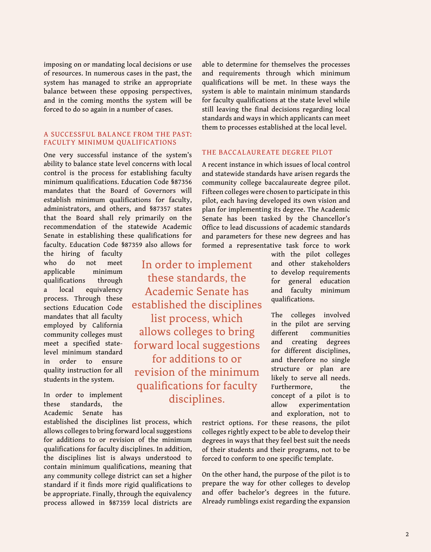imposing on or mandating local decisions or use of resources. In numerous cases in the past, the system has managed to strike an appropriate balance between these opposing perspectives, and in the coming months the system will be forced to do so again in a number of cases.

#### A Successful Balance from the Past: Faculty Minimum Qualifications

One very successful instance of the system's ability to balance state level concerns with local control is the process for establishing faculty minimum qualifications. Education Code §87356 mandates that the Board of Governors will establish minimum qualifications for faculty, administrators, and others, and §87357 states that the Board shall rely primarily on the recommendation of the statewide Academic Senate in establishing these qualifications for faculty. Education Code §87359 also allows for

> In order to implement these standards, the Academic Senate has established the disciplines list process, which allows colleges to bring forward local suggestions for additions to or revision of the minimum qualifications for faculty disciplines.

the hiring of faculty who do not meet applicable minimum qualifications through a local equivalency process. Through these sections Education Code mandates that all faculty employed by California community colleges must meet a specified statelevel minimum standard in order to ensure quality instruction for all students in the system.

In order to implement these standards, the Academic Senate has

established the disciplines list process, which allows colleges to bring forward local suggestions for additions to or revision of the minimum qualifications for faculty disciplines. In addition, the disciplines list is always understood to contain minimum qualifications, meaning that any community college district can set a higher standard if it finds more rigid qualifications to be appropriate. Finally, through the equivalency process allowed in §87359 local districts are

able to determine for themselves the processes and requirements through which minimum qualifications will be met. In these ways the system is able to maintain minimum standards for faculty qualifications at the state level while still leaving the final decisions regarding local standards and ways in which applicants can meet them to processes established at the local level.

#### The Baccalaureate Degree Pilot

A recent instance in which issues of local control and statewide standards have arisen regards the community college baccalaureate degree pilot. Fifteen colleges were chosen to participate in this pilot, each having developed its own vision and plan for implementing its degree. The Academic Senate has been tasked by the Chancellor's Office to lead discussions of academic standards and parameters for these new degrees and has formed a representative task force to work

with the pilot colleges and other stakeholders to develop requirements for general education and faculty minimum qualifications.

The colleges involved in the pilot are serving different communities and creating degrees for different disciplines, and therefore no single structure or plan are likely to serve all needs. Furthermore, the concept of a pilot is to allow experimentation and exploration, not to

restrict options. For these reasons, the pilot colleges rightly expect to be able to develop their degrees in ways that they feel best suit the needs of their students and their programs, not to be forced to conform to one specific template.

On the other hand, the purpose of the pilot is to prepare the way for other colleges to develop and offer bachelor's degrees in the future. Already rumblings exist regarding the expansion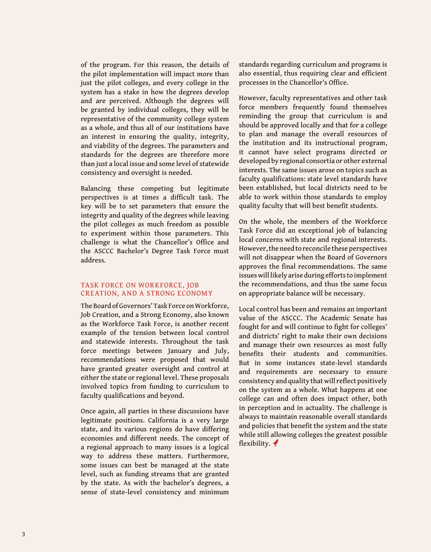of the program. For this reason, the details of the pilot implementation will impact more than just the pilot colleges, and every college in the system has a stake in how the degrees develop and are perceived. Although the degrees will be granted by individual colleges, they will be representative of the community college system as a whole, and thus all of our institutions have an interest in ensuring the quality, integrity, and viability of the degrees. The parameters and standards for the degrees are therefore more than just a local issue and some level of statewide consistency and oversight is needed.

Balancing these competing but legitimate perspectives is at times a difficult task. The key will be to set parameters that ensure the integrity and quality of the degrees while leaving the pilot colleges as much freedom as possible to experiment within those parameters. This challenge is what the Chancellor's Office and the ASCCC Bachelor's Degree Task Force must address.

#### Task Force on Workforce, Job Creation, and a Strong Economy

The Board of Governors' Task Force on Workforce, Job Creation, and a Strong Economy, also known as the Workforce Task Force, is another recent example of the tension between local control and statewide interests. Throughout the task force meetings between January and July, recommendations were proposed that would have granted greater oversight and control at either the state or regional level. These proposals involved topics from funding to curriculum to faculty qualifications and beyond.

Once again, all parties in these discussions have legitimate positions. California is a very large state, and its various regions do have differing economies and different needs. The concept of a regional approach to many issues is a logical way to address these matters. Furthermore, some issues can best be managed at the state level, such as funding streams that are granted by the state. As with the bachelor's degrees, a sense of state-level consistency and minimum standards regarding curriculum and programs is also essential, thus requiring clear and efficient processes in the Chancellor's Office.

However, faculty representatives and other task force members frequently found themselves reminding the group that curriculum is and should be approved locally and that for a college to plan and manage the overall resources of the institution and its instructional program, it cannot have select programs directed or developed by regional consortia or other external interests. The same issues arose on topics such as faculty qualifications: state level standards have been established, but local districts need to be able to work within those standards to employ quality faculty that will best benefit students.

On the whole, the members of the Workforce Task Force did an exceptional job of balancing local concerns with state and regional interests. However, the need to reconcile these perspectives will not disappear when the Board of Governors approves the final recommendations. The same issues will likely arise during efforts to implement the recommendations, and thus the same focus on appropriate balance will be necessary.

Local control has been and remains an important value of the ASCCC. The Academic Senate has fought for and will continue to fight for colleges' and districts' right to make their own decisions and manage their own resources as most fully benefits their students and communities. But in some instances state-level standards and requirements are necessary to ensure consistency and quality that will reflect positively on the system as a whole. What happens at one college can and often does impact other, both in perception and in actuality. The challenge is always to maintain reasonable overall standards and policies that benefit the system and the state while still allowing colleges the greatest possible flexibility.  $\blacklozenge$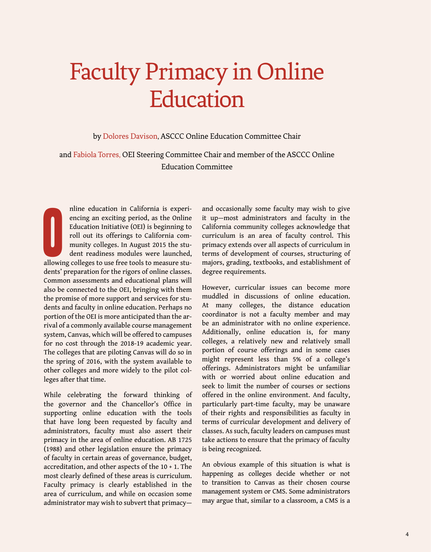# Faculty Primacy in Online **Education**

by Dolores Davison, ASCCC Online Education Committee Chair

and Fabiola Torres, OEI Steering Committee Chair and member of the ASCCC Online Education Committee

nline education in California is experiencing an exciting period, as the Online Education Initiative (OEI) is beginning to roll out its offerings to California community colleges. In August 2015 the student readiness modul nline education in California is experiencing an exciting period, as the Online Education Initiative (OEI) is beginning to roll out its offerings to California community colleges. In August 2015 the student readiness modules were launched, dents' preparation for the rigors of online classes. Common assessments and educational plans will also be connected to the OEI, bringing with them the promise of more support and services for students and faculty in online education. Perhaps no portion of the OEI is more anticipated than the arrival of a commonly available course management system, Canvas, which will be offered to campuses for no cost through the 2018-19 academic year. The colleges that are piloting Canvas will do so in the spring of 2016, with the system available to other colleges and more widely to the pilot colleges after that time.

While celebrating the forward thinking of the governor and the Chancellor's Office in supporting online education with the tools that have long been requested by faculty and administrators, faculty must also assert their primacy in the area of online education. AB 1725 (1988) and other legislation ensure the primacy of faculty in certain areas of governance, budget, accreditation, and other aspects of the 10 + 1. The most clearly defined of these areas is curriculum. Faculty primacy is clearly established in the area of curriculum, and while on occasion some administrator may wish to subvert that primacy—

and occasionally some faculty may wish to give it up—most administrators and faculty in the California community colleges acknowledge that curriculum is an area of faculty control. This primacy extends over all aspects of curriculum in terms of development of courses, structuring of majors, grading, textbooks, and establishment of degree requirements.

However, curricular issues can become more muddled in discussions of online education. At many colleges, the distance education coordinator is not a faculty member and may be an administrator with no online experience. Additionally, online education is, for many colleges, a relatively new and relatively small portion of course offerings and in some cases might represent less than 5% of a college's offerings. Administrators might be unfamiliar with or worried about online education and seek to limit the number of courses or sections offered in the online environment. And faculty, particularly part-time faculty, may be unaware of their rights and responsibilities as faculty in terms of curricular development and delivery of classes. As such, faculty leaders on campuses must take actions to ensure that the primacy of faculty is being recognized.

An obvious example of this situation is what is happening as colleges decide whether or not to transition to Canvas as their chosen course management system or CMS. Some administrators may argue that, similar to a classroom, a CMS is a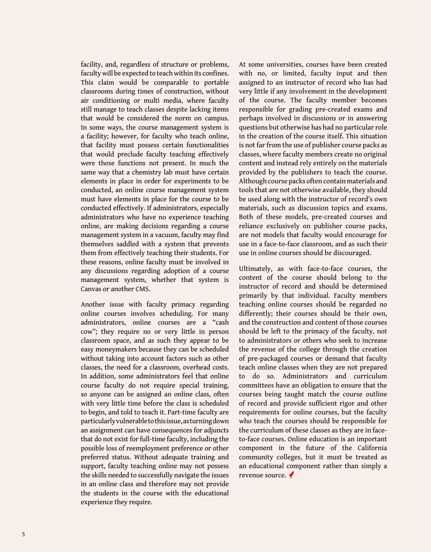facility, and, regardless of structure or problems, faculty will be expected to teach within its confines. This claim would be comparable to portable classrooms during times of construction, without air conditioning or multi media, where faculty still manage to teach classes despite lacking items that would be considered the norm on campus. In some ways, the course management system is a facility; however, for faculty who teach online, that facility must possess certain functionalities that would preclude faculty teaching effectively were those functions not present. In much the same way that a chemistry lab must have certain elements in place in order for experiments to be conducted, an online course management system must have elements in place for the course to be conducted effectively. If administrators, especially administrators who have no experience teaching online, are making decisions regarding a course management system in a vacuum, faculty may find themselves saddled with a system that prevents them from effectively teaching their students. For these reasons, online faculty must be involved in any discussions regarding adoption of a course management system, whether that system is Canvas or another CMS.

Another issue with faculty primacy regarding online courses involves scheduling. For many administrators, online courses are a "cash cow"; they require no or very little in person classroom space, and as such they appear to be easy moneymakers because they can be scheduled without taking into account factors such as other classes, the need for a classroom, overhead costs. In addition, some administrators feel that online course faculty do not require special training, so anyone can be assigned an online class, often with very little time before the class is scheduled to begin, and told to teach it. Part-time faculty are particularly vulnerable to this issue, as turning down an assignment can have consequences for adjuncts that do not exist for full-time faculty, including the possible loss of reemployment preference or other preferred status. Without adequate training and support, faculty teaching online may not possess the skills needed to successfully navigate the issues in an online class and therefore may not provide the students in the course with the educational experience they require.

At some universities, courses have been created with no, or limited, faculty input and then assigned to an instructor of record who has had very little if any involvement in the development of the course. The faculty member becomes responsible for grading pre-created exams and perhaps involved in discussions or in answering questions but otherwise has had no particular role in the creation of the course itself. This situation is not far from the use of publisher course packs as classes, where faculty members create no original content and instead rely entirely on the materials provided by the publishers to teach the course. Although course packs often contain materials and tools that are not otherwise available, they should be used along with the instructor of record's own materials, such as discussion topics and exams. Both of these models, pre-created courses and reliance exclusively on publisher course packs, are not models that faculty would encourage for use in a face-to-face classroom, and as such their use in online courses should be discouraged.

Ultimately, as with face-to-face courses, the content of the course should belong to the instructor of record and should be determined primarily by that individual. Faculty members teaching online courses should be regarded no differently; their courses should be their own, and the construction and content of those courses should be left to the primacy of the faculty, not to administrators or others who seek to increase the revenue of the college through the creation of pre-packaged courses or demand that faculty teach online classes when they are not prepared to do so. Administrators and curriculum committees have an obligation to ensure that the courses being taught match the course outline of record and provide sufficient rigor and other requirements for online courses, but the faculty who teach the courses should be responsible for the curriculum of these classes as they are in faceto-face courses. Online education is an important component in the future of the California community colleges, but it must be treated as an educational component rather than simply a revenue source.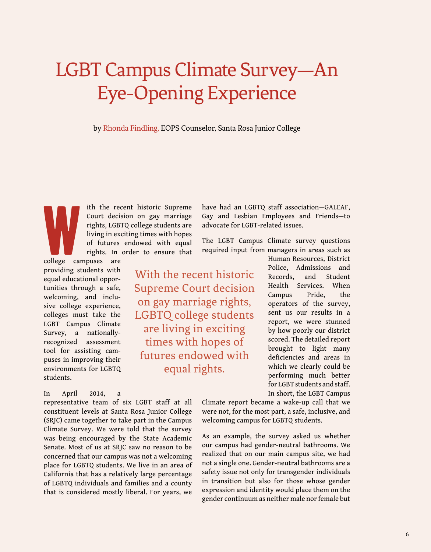# LGBT Campus Climate Survey—An Eye-Opening Experience

by Rhonda Findling, EOPS Counselor, Santa Rosa Junior College

W<br>Gellege der ith the recent historic Supreme Court decision on gay marriage rights, LGBTQ college students are living in exciting times with hopes of futures endowed with equal rights. In order to ensure that

college campuses are providing students with equal educational opportunities through a safe, welcoming, and inclusive college experience, colleges must take the LGBT Campus Climate Survey, a nationallyrecognized assessment tool for assisting campuses in improving their environments for LGBTQ students.

#### In April 2014, a

representative team of six LGBT staff at all constituent levels at Santa Rosa Junior College (SRJC) came together to take part in the Campus Climate Survey. We were told that the survey was being encouraged by the State Academic Senate. Most of us at SRJC saw no reason to be concerned that our campus was not a welcoming place for LGBTQ students. We live in an area of California that has a relatively large percentage of LGBTQ individuals and families and a county that is considered mostly liberal. For years, we have had an LGBTQ staff association—GALEAF, Gay and Lesbian Employees and Friends—to advocate for LGBT-related issues.

The LGBT Campus Climate survey questions required input from managers in areas such as

With the recent historic Supreme Court decision on gay marriage rights, LGBTQ college students are living in exciting times with hopes of futures endowed with equal rights.

Human Resources, District Police, Admissions and Records, and Student Health Services. When Campus Pride, the operators of the survey, sent us our results in a report, we were stunned by how poorly our district scored. The detailed report brought to light many deficiencies and areas in which we clearly could be performing much better for LGBT students and staff. In short, the LGBT Campus

Climate report became a wake-up call that we were not, for the most part, a safe, inclusive, and welcoming campus for LGBTQ students.

As an example, the survey asked us whether our campus had gender-neutral bathrooms. We realized that on our main campus site, we had not a single one. Gender-neutral bathrooms are a safety issue not only for transgender individuals in transition but also for those whose gender expression and identity would place them on the gender continuum as neither male nor female but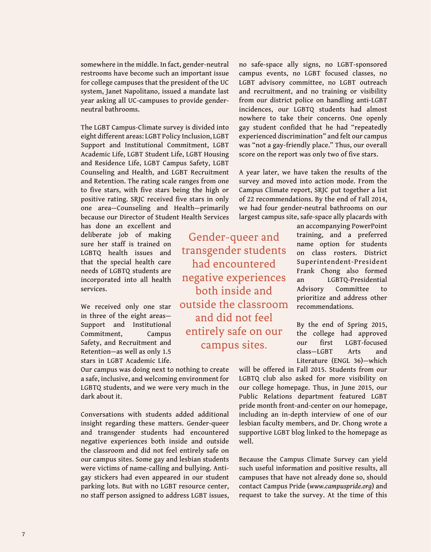somewhere in the middle. In fact, gender-neutral restrooms have become such an important issue for college campuses that the president of the UC system, Janet Napolitano, issued a mandate last year asking all UC-campuses to provide genderneutral bathrooms.

The LGBT Campus-Climate survey is divided into eight different areas: LGBT Policy Inclusion, LGBT Support and Institutional Commitment, LGBT Academic Life, LGBT Student Life, LGBT Housing and Residence Life, LGBT Campus Safety, LGBT Counseling and Health, and LGBT Recruitment and Retention. The rating scale ranges from one to five stars, with five stars being the high or positive rating. SRJC received five stars in only one area—Counseling and Health—primarily because our Director of Student Health Services

has done an excellent and deliberate job of making sure her staff is trained on LGBTQ health issues and that the special health care needs of LGBTQ students are incorporated into all health services.

We received only one star in three of the eight areas— Support and Institutional Commitment, Campus Safety, and Recruitment and Retention—as well as only 1.5 stars in LGBT Academic Life.

Our campus was doing next to nothing to create a safe, inclusive, and welcoming environment for LGBTQ students, and we were very much in the dark about it.

Conversations with students added additional insight regarding these matters. Gender-queer and transgender students had encountered negative experiences both inside and outside the classroom and did not feel entirely safe on our campus sites. Some gay and lesbian students were victims of name-calling and bullying. Antigay stickers had even appeared in our student parking lots. But with no LGBT resource center, no staff person assigned to address LGBT issues,

no safe-space ally signs, no LGBT-sponsored campus events, no LGBT focused classes, no LGBT advisory committee, no LGBT outreach and recruitment, and no training or visibility from our district police on handling anti-LGBT incidences, our LGBTQ students had almost nowhere to take their concerns. One openly gay student confided that he had "repeatedly experienced discrimination" and felt our campus was "not a gay-friendly place." Thus, our overall score on the report was only two of five stars.

A year later, we have taken the results of the survey and moved into action mode. From the Campus Climate report, SRJC put together a list of 22 recommendations. By the end of Fall 2014, we had four gender-neutral bathrooms on our largest campus site, safe-space ally placards with

Gender-queer and transgender students had encountered negative experiences both inside and outside the classroom and did not feel entirely safe on our campus sites.

an accompanying PowerPoint training, and a preferred name option for students on class rosters. District Superintendent-President Frank Chong also formed an LGBTQ-Presidential Advisory Committee to prioritize and address other recommendations.

By the end of Spring 2015, the college had approved our first LGBT-focused class—LGBT Arts and Literature (ENGL 36)—which

will be offered in Fall 2015. Students from our LGBTQ club also asked for more visibility on our college homepage. Thus, in June 2015, our Public Relations department featured LGBT pride month front-and-center on our homepage, including an in-depth interview of one of our lesbian faculty members, and Dr. Chong wrote a supportive LGBT blog linked to the homepage as well.

Because the Campus Climate Survey can yield such useful information and positive results, all campuses that have not already done so, should contact Campus Pride (*[www.campuspride.org](http://www.campuspride.org)*) and request to take the survey. At the time of this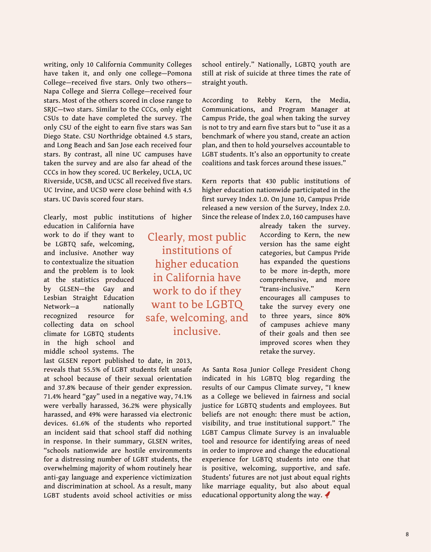writing, only 10 California Community Colleges have taken it, and only one college—Pomona College—received five stars. Only two others— Napa College and Sierra College—received four stars. Most of the others scored in close range to SRJC—two stars. Similar to the CCCs, only eight CSUs to date have completed the survey. The only CSU of the eight to earn five stars was San Diego State. CSU Northridge obtained 4.5 stars, and Long Beach and San Jose each received four stars. By contrast, all nine UC campuses have taken the survey and are also far ahead of the CCCs in how they scored. UC Berkeley, UCLA, UC Riverside, UCSB, and UCSC all received five stars. UC Irvine, and UCSD were close behind with 4.5 stars. UC Davis scored four stars.

Clearly, most public institutions of higher education in California have

work to do if they want to be LGBTQ safe, welcoming, and inclusive. Another way to contextualize the situation and the problem is to look at the statistics produced by GLSEN—the Gay and Lesbian Straight Education Network—a nationally recognized resource for collecting data on school climate for LGBTQ students in the high school and middle school systems. The

last GLSEN report published to date, in 2013, reveals that 55.5% of LGBT students felt unsafe at school because of their sexual orientation and 37.8% because of their gender expression. 71.4% heard "gay" used in a negative way, 74.1% were verbally harassed, 36.2% were physically harassed, and 49% were harassed via electronic devices. 61.6% of the students who reported an incident said that school staff did nothing in response. In their summary, GLSEN writes, "schools nationwide are hostile environments for a distressing number of LGBT students, the overwhelming majority of whom routinely hear anti-gay language and experience victimization and discrimination at school. As a result, many LGBT students avoid school activities or miss

Clearly, most public institutions of higher education in California have work to do if they want to be LGBTQ safe, welcoming, and inclusive.

school entirely." Nationally, LGBTQ youth are still at risk of suicide at three times the rate of straight youth.

According to Rebby Kern, the Media, Communications, and Program Manager at Campus Pride, the goal when taking the survey is not to try and earn five stars but to "use it as a benchmark of where you stand, create an action plan, and then to hold yourselves accountable to LGBT students. It's also an opportunity to create coalitions and task forces around these issues."

Kern reports that 430 public institutions of higher education nationwide participated in the first survey Index 1.0. On June 10, Campus Pride released a new version of the Survey, Index 2.0. Since the release of Index 2.0, 160 campuses have

> already taken the survey. According to Kern, the new version has the same eight categories, but Campus Pride has expanded the questions to be more in-depth, more comprehensive, and more "trans-inclusive." Kern encourages all campuses to take the survey every one to three years, since 80% of campuses achieve many of their goals and then see improved scores when they retake the survey.

As Santa Rosa Junior College President Chong indicated in his LGBTQ blog regarding the results of our Campus Climate survey, "I knew as a College we believed in fairness and social justice for LGBTQ students and employees. But beliefs are not enough: there must be action, visibility, and true institutional support." The LGBT Campus Climate Survey is an invaluable tool and resource for identifying areas of need in order to improve and change the educational experience for LGBTQ students into one that is positive, welcoming, supportive, and safe. Students' futures are not just about equal rights like marriage equality, but also about equal educational opportunity along the way.  $\blacklozenge$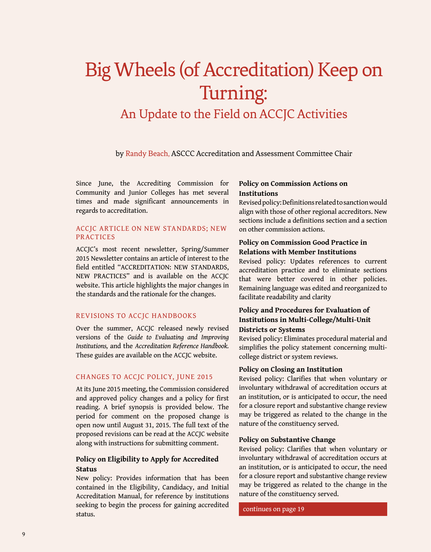## Big Wheels (of Accreditation) Keep on Turning: An Update to the Field on ACCJC Activities

by Randy Beach, ASCCC Accreditation and Assessment Committee Chair

Since June, the Accrediting Commission for Community and Junior Colleges has met several times and made significant announcements in regards to accreditation.

#### ACCJC Article on New Standards; New **PRACTICES**

ACCJC's most recent newsletter, Spring/Summer 2015 Newsletter contains an article of interest to the field entitled "ACCREDITATION: NEW STANDARDS, NEW PRACTICES" and is available on the ACCJC website. This article highlights the major changes in the standards and the rationale for the changes.

#### Revisions to ACCJC Handbooks

Over the summer, ACCJC released newly revised versions of the *Guide to Evaluating and Improving Institutions,* and the *Accreditation Reference Handbook.*  These guides are available on the ACCJC website.

#### Changes to ACCJC Policy, June 2015

At its June 2015 meeting, the Commission considered and approved policy changes and a policy for first reading. A brief synopsis is provided below. The period for comment on the proposed change is open now until August 31, 2015. The full text of the proposed revisions can be read at the ACCJC website along with instructions for submitting comment.

#### **Policy on Eligibility to Apply for Accredited Status**

New policy: Provides information that has been contained in the Eligibility, Candidacy, and Initial Accreditation Manual, for reference by institutions seeking to begin the process for gaining accredited status.

#### **Policy on Commission Actions on Institutions**

Revised policy: Definitions related to sanction would align with those of other regional accreditors. New sections include a definitions section and a section on other commission actions.

#### **Policy on Commission Good Practice in Relations with Member Institutions**

Revised policy: Updates references to current accreditation practice and to eliminate sections that were better covered in other policies. Remaining language was edited and reorganized to facilitate readability and clarity

#### **Policy and Procedures for Evaluation of Institutions in Multi-College/Multi-Unit Districts or Systems**

#### Revised policy: Eliminates procedural material and simplifies the policy statement concerning multicollege district or system reviews.

#### **Policy on Closing an Institution**

Revised policy: Clarifies that when voluntary or involuntary withdrawal of accreditation occurs at an institution, or is anticipated to occur, the need for a closure report and substantive change review may be triggered as related to the change in the nature of the constituency served.

#### **Policy on Substantive Change**

Revised policy: Clarifies that when voluntary or involuntary withdrawal of accreditation occurs at an institution, or is anticipated to occur, the need for a closure report and substantive change review may be triggered as related to the change in the nature of the constituency served.

continues on page 19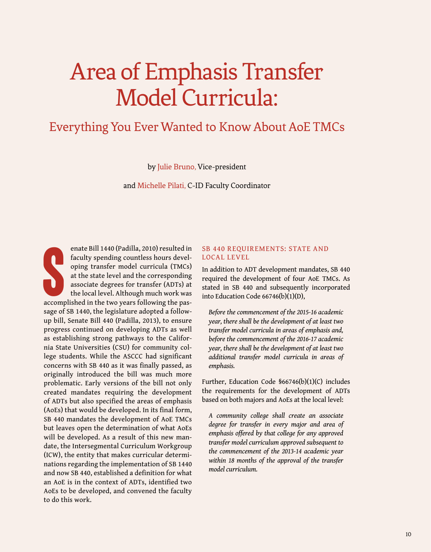# <span id="page-10-0"></span>Area of Emphasis Transfer Model Curricula:

### Everything You Ever Wanted to Know About AoE TMCs

by Julie Bruno, Vice-president

and Michelle Pilati, C-ID Faculty Coordinator

S enate Bill 1440 (Padilla, 2010) resulted in faculty spending countless hours developing transfer model curricula (TMCs) at the state level and the corresponding associate degrees for transfer (ADTs) at the local level. Although much work was accomplished in the two years following the passage of SB 1440, the legislature adopted a followup bill, Senate Bill 440 (Padilla, 2013), to ensure progress continued on developing ADTs as well as establishing strong pathways to the California State Universities (CSU) for community college students. While the ASCCC had significant concerns with SB 440 as it was finally passed, as originally introduced the bill was much more problematic. Early versions of the bill not only created mandates requiring the development of ADTs but also specified the areas of emphasis (AoEs) that would be developed. In its final form, SB 440 mandates the development of AoE TMCs but leaves open the determination of what AoEs will be developed. As a result of this new mandate, the Intersegmental Curriculum Workgroup (ICW), the entity that makes curricular determinations regarding the implementation of SB 1440 and now SB 440, established a definition for what an AoE is in the context of ADTs, identified two AoEs to be developed, and convened the faculty to do this work.

#### SB 440 REQUIREMENTS: STATE AND Local Level

In addition to ADT development mandates, SB 440 required the development of four AoE TMCs. As stated in SB 440 and subsequently incorporated into Education Code 66746(b)(1)(D),

*Before the commencement of the 2015-16 academic year, there shall be the development of at least two transfer model curricula in areas of emphasis and, before the commencement of the 2016-17 academic year, there shall be the development of at least two additional transfer model curricula in areas of emphasis.* 

Further, Education Code §66746(b)(1)(C) includes the requirements for the development of ADTs based on both majors and AoEs at the local level:

*A community college shall create an associate degree for transfer in every major and area of emphasis offered by that college for any approved transfer model curriculum approved subsequent to the commencement of the 2013-14 academic year within 18 months of the approval of the transfer model curriculum.*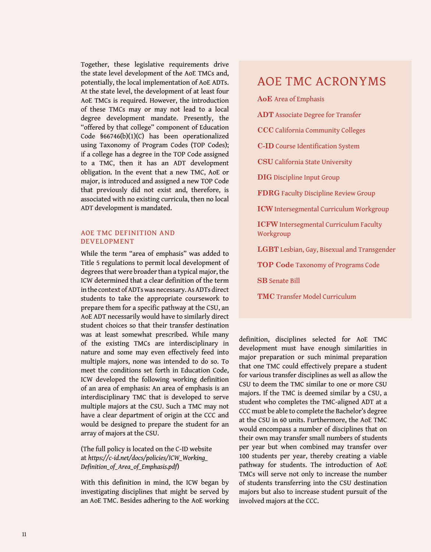Together, these legislative requirements drive the state level development of the AoE TMCs and, potentially, the local implementation of AoE ADTs. At the state level, the development of at least four AoE TMCs is required. However, the introduction of these TMCs may or may not lead to a local degree development mandate. Presently, the "offered by that college" component of Education Code §66746(b)(1)(C) has been operationalized using Taxonomy of Program Codes (TOP Codes); if a college has a degree in the TOP Code assigned to a TMC, then it has an ADT development obligation. In the event that a new TMC, AoE or major, is introduced and assigned a new TOP Code that previously did not exist and, therefore, is associated with no existing curricula, then no local ADT development is mandated.

#### AoE TMC Definition and Development

While the term "area of emphasis" was added to Title 5 regulations to permit local development of degrees that were broader than a typical major, the ICW determined that a clear definition of the term in the context of ADTs was necessary. As ADTs direct students to take the appropriate coursework to prepare them for a specific pathway at the CSU, an AoE ADT necessarily would have to similarly direct student choices so that their transfer destination was at least somewhat prescribed. While many of the existing TMCs are interdisciplinary in nature and some may even effectively feed into multiple majors, none was intended to do so. To meet the conditions set forth in Education Code, ICW developed the following working definition of an area of emphasis: An area of emphasis is an interdisciplinary TMC that is developed to serve multiple majors at the CSU. Such a TMC may not have a clear department of origin at the CCC and would be designed to prepare the student for an array of majors at the CSU.

#### (The full policy is located on the C-ID website at *[https://c-id.net/docs/policies/ICW\\_Working\\_](https://c-id.net/docs/policies/ICW_Working_Definition_of_Area_of_Emphasis.pdf) [Definition\\_of\\_Area\\_of\\_Emphasis.pdf](https://c-id.net/docs/policies/ICW_Working_Definition_of_Area_of_Emphasis.pdf)*)

With this definition in mind, the ICW began by investigating disciplines that might be served by an AoE TMC. Besides adhering to the AoE working

### AoE TMC Acronyms

**AoE** Area of Emphasis

- **ADT** Associate Degree for Transfer
- **CCC** California Community Colleges
- **C-ID** Course Identification System
- **CSU** California State University
- **DIG** Discipline Input Group
- **FDRG** Faculty Discipline Review Group
- **ICW** Intersegmental Curriculum Workgroup
- **ICFW** Intersegmental Curriculum Faculty Workgroup
- **LGBT** Lesbian, Gay, Bisexual and Transgender
- **TOP Code** Taxonomy of Programs Code
- **SB** Senate Bill
- **TMC** Transfer Model Curriculum

definition, disciplines selected for AoE TMC development must have enough similarities in major preparation or such minimal preparation that one TMC could effectively prepare a student for various transfer disciplines as well as allow the CSU to deem the TMC similar to one or more CSU majors. If the TMC is deemed similar by a CSU, a student who completes the TMC-aligned ADT at a CCC must be able to complete the Bachelor's degree at the CSU in 60 units. Furthermore, the AoE TMC would encompass a number of disciplines that on their own may transfer small numbers of students per year but when combined may transfer over 100 students per year, thereby creating a viable pathway for students. The introduction of AoE TMCs will serve not only to increase the number of students transferring into the CSU destination majors but also to increase student pursuit of the involved majors at the CCC.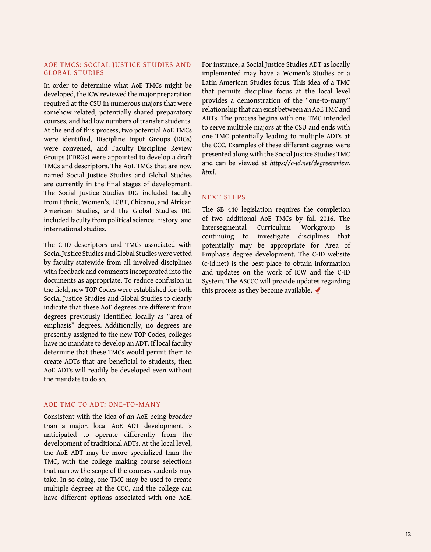#### AoE TMCs: Social Justice Studies and Global Studies

In order to determine what AoE TMCs might be developed, the ICW reviewed the major preparation required at the CSU in numerous majors that were somehow related, potentially shared preparatory courses, and had low numbers of transfer students. At the end of this process, two potential AoE TMCs were identified, Discipline Input Groups (DIGs) were convened, and Faculty Discipline Review Groups (FDRGs) were appointed to develop a draft TMCs and descriptors. The AoE TMCs that are now named Social Justice Studies and Global Studies are currently in the final stages of development. The Social Justice Studies DIG included faculty from Ethnic, Women's, LGBT, Chicano, and African American Studies, and the Global Studies DIG included faculty from political science, history, and international studies.

The C-ID descriptors and TMCs associated with Social Justice Studies and Global Studies were vetted by faculty statewide from all involved disciplines with feedback and comments incorporated into the documents as appropriate. To reduce confusion in the field, new TOP Codes were established for both Social Justice Studies and Global Studies to clearly indicate that these AoE degrees are different from degrees previously identified locally as "area of emphasis" degrees. Additionally, no degrees are presently assigned to the new TOP Codes, colleges have no mandate to develop an ADT. If local faculty determine that these TMCs would permit them to create ADTs that are beneficial to students, then AoE ADTs will readily be developed even without the mandate to do so.

#### AoE TMC to ADT: One-to-many

Consistent with the idea of an AoE being broader than a major, local AoE ADT development is anticipated to operate differently from the development of traditional ADTs. At the local level, the AoE ADT may be more specialized than the TMC, with the college making course selections that narrow the scope of the courses students may take. In so doing, one TMC may be used to create multiple degrees at the CCC, and the college can have different options associated with one AoE.

For instance, a Social Justice Studies ADT as locally implemented may have a Women's Studies or a Latin American Studies focus. This idea of a TMC that permits discipline focus at the local level provides a demonstration of the "one-to-many" relationship that can exist between an AoE TMC and ADTs. The process begins with one TMC intended to serve multiple majors at the CSU and ends with one TMC potentially leading to multiple ADTs at the CCC. Examples of these different degrees were presented along with the Social Justice Studies TMC and can be viewed at *[https://c-id.net/degreereview.](https://c-id.net/degreereview.html) [html](https://c-id.net/degreereview.html)*.

#### **NEXT STEPS**

The SB 440 legislation requires the completion of two additional AoE TMCs by fall 2016. The Intersegmental Curriculum Workgroup is continuing to investigate disciplines that potentially may be appropriate for Area of Emphasis degree development. The C-ID website (c-id.net) is the best place to obtain information and updates on the work of ICW and the C-ID System. The ASCCC will provide updates regarding this process as they become available.  $\blacktriangleleft$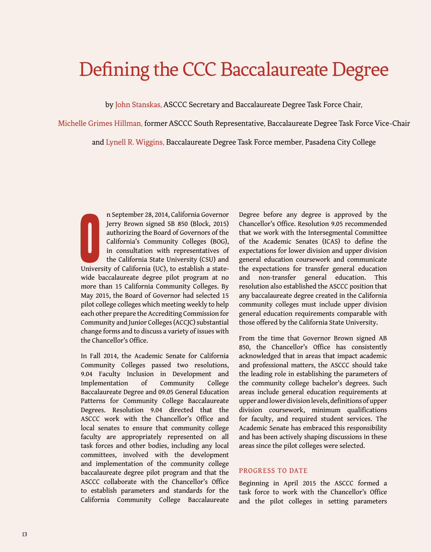## <span id="page-13-0"></span>Defining the CCC Baccalaureate Degree

by John Stanskas, ASCCC Secretary and Baccalaureate Degree Task Force Chair,

Michelle Grimes Hillman, former ASCCC South Representative, Baccalaureate Degree Task Force Vice-Chair

and Lynell R. Wiggins, Baccalaureate Degree Task Force member, Pasadena City College

**O** n September 28, 2014, California Governor Jerry Brown signed SB 850 (Block, 2015) authorizing the Board of Governors of the California's Community Colleges (BOG), in consultation with representatives of the California State University (CSU) and University of California (UC), to establish a statewide baccalaureate degree pilot program at no more than 15 California Community Colleges. By May 2015, the Board of Governor had selected 15 pilot college colleges which meeting weekly to help each other prepare the Accrediting Commission for Community and Junior Colleges (ACCJC) substantial change forms and to discuss a variety of issues with the Chancellor's Office.

In Fall 2014, the Academic Senate for California Community Colleges passed two resolutions, 9.04 Faculty Inclusion in Development and Implementation of Community College Baccalaureate Degree and 09.05 General Education Patterns for Community College Baccalaureate Degrees. Resolution 9.04 directed that the ASCCC work with the Chancellor's Office and local senates to ensure that community college faculty are appropriately represented on all task forces and other bodies, including any local committees, involved with the development and implementation of the community college baccalaureate degree pilot program and that the ASCCC collaborate with the Chancellor's Office to establish parameters and standards for the California Community College Baccalaureate Degree before any degree is approved by the Chancellor's Office. Resolution 9.05 recommended that we work with the Intersegmental Committee of the Academic Senates (ICAS) to define the expectations for lower division and upper division general education coursework and communicate the expectations for transfer general education and non-transfer general education. This resolution also established the ASCCC position that any baccalaureate degree created in the California community colleges must include upper division general education requirements comparable with those offered by the California State University.

From the time that Governor Brown signed AB 850, the Chancellor's Office has consistently acknowledged that in areas that impact academic and professional matters, the ASCCC should take the leading role in establishing the parameters of the community college bachelor's degrees. Such areas include general education requirements at upper and lower division levels, definitions of upper division coursework, minimum qualifications for faculty, and required student services. The Academic Senate has embraced this responsibility and has been actively shaping discussions in these areas since the pilot colleges were selected.

#### PROGRESS TO DATE

Beginning in April 2015 the ASCCC formed a task force to work with the Chancellor's Office and the pilot colleges in setting parameters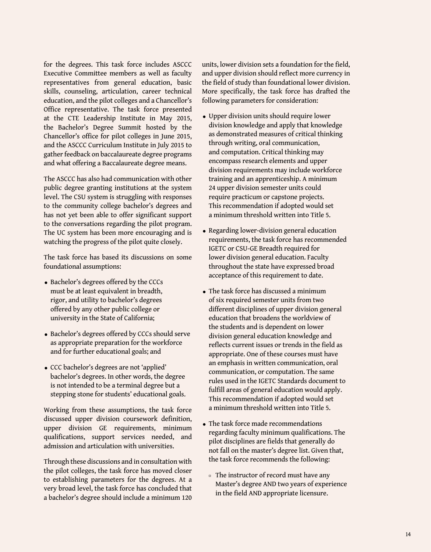for the degrees. This task force includes ASCCC Executive Committee members as well as faculty representatives from general education, basic skills, counseling, articulation, career technical education, and the pilot colleges and a Chancellor's Office representative. The task force presented at the CTE Leadership Institute in May 2015, the Bachelor's Degree Summit hosted by the Chancellor's office for pilot colleges in June 2015, and the ASCCC Curriculum Institute in July 2015 to gather feedback on baccalaureate degree programs and what offering a Baccalaureate degree means.

The ASCCC has also had communication with other public degree granting institutions at the system level. The CSU system is struggling with responses to the community college bachelor's degrees and has not yet been able to offer significant support to the conversations regarding the pilot program. The UC system has been more encouraging and is watching the progress of the pilot quite closely.

The task force has based its discussions on some foundational assumptions:

- Bachelor's degrees offered by the CCCs must be at least equivalent in breadth, rigor, and utility to bachelor's degrees offered by any other public college or university in the State of California;
- Bachelor's degrees offered by CCCs should serve as appropriate preparation for the workforce and for further educational goals; and
- CCC bachelor's degrees are not 'applied' bachelor's degrees. In other words, the degree is not intended to be a terminal degree but a stepping stone for students' educational goals.

Working from these assumptions, the task force discussed upper division coursework definition, upper division GE requirements, minimum qualifications, support services needed, and admission and articulation with universities.

Through these discussions and in consultation with the pilot colleges, the task force has moved closer to establishing parameters for the degrees. At a very broad level, the task force has concluded that a bachelor's degree should include a minimum 120

units, lower division sets a foundation for the field, and upper division should reflect more currency in the field of study than foundational lower division. More specifically, the task force has drafted the following parameters for consideration:

- Upper division units should require lower division knowledge and apply that knowledge as demonstrated measures of critical thinking through writing, oral communication, and computation. Critical thinking may encompass research elements and upper division requirements may include workforce training and an apprenticeship. A minimum 24 upper division semester units could require practicum or capstone projects. This recommendation if adopted would set a minimum threshold written into Title 5.
- Regarding lower-division general education requirements, the task force has recommended IGETC or CSU-GE Breadth required for lower division general education. Faculty throughout the state have expressed broad acceptance of this requirement to date.
- The task force has discussed a minimum of six required semester units from two different disciplines of upper division general education that broadens the worldview of the students and is dependent on lower division general education knowledge and reflects current issues or trends in the field as appropriate. One of these courses must have an emphasis in written communication, oral communication, or computation. The same rules used in the IGETC Standards document to fulfill areas of general education would apply. This recommendation if adopted would set a minimum threshold written into Title 5.
- The task force made recommendations regarding faculty minimum qualifications. The pilot disciplines are fields that generally do not fall on the master's degree list. Given that, the task force recommends the following:
	- □ The instructor of record must have any Master's degree AND two years of experience in the field AND appropriate licensure.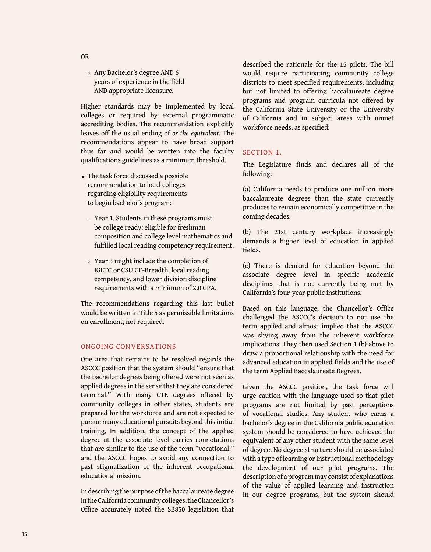¤ Any Bachelor's degree AND 6 years of experience in the field AND appropriate licensure.

Higher standards may be implemented by local colleges or required by external programmatic accrediting bodies. The recommendation explicitly leaves off the usual ending of *or the equivalent*. The recommendations appear to have broad support thus far and would be written into the faculty qualifications guidelines as a minimum threshold.

- The task force discussed a possible recommendation to local colleges regarding eligibility requirements to begin bachelor's program:
	- □ Year 1. Students in these programs must be college ready: eligible for freshman composition and college level mathematics and fulfilled local reading competency requirement.
	- ¤ Year 3 might include the completion of IGETC or CSU GE-Breadth, local reading competency, and lower division discipline requirements with a minimum of 2.0 GPA.

The recommendations regarding this last bullet would be written in Title 5 as permissible limitations on enrollment, not required.

#### Ongoing conversations

One area that remains to be resolved regards the ASCCC position that the system should "ensure that the bachelor degrees being offered were not seen as applied degrees in the sense that they are considered terminal." With many CTE degrees offered by community colleges in other states, students are prepared for the workforce and are not expected to pursue many educational pursuits beyond this initial training. In addition, the concept of the applied degree at the associate level carries connotations that are similar to the use of the term "vocational," and the ASCCC hopes to avoid any connection to past stigmatization of the inherent occupational educational mission.

In describing the purpose of the baccalaureate degree in the California community colleges, the Chancellor's Office accurately noted the SB850 legislation that described the rationale for the 15 pilots. The bill would require participating community college districts to meet specified requirements, including but not limited to offering baccalaureate degree programs and program curricula not offered by the California State University or the University of California and in subject areas with unmet workforce needs, as specified:

#### SECTION 1.

The Legislature finds and declares all of the following:

(a) California needs to produce one million more baccalaureate degrees than the state currently produces to remain economically competitive in the coming decades.

(b) The 21st century workplace increasingly demands a higher level of education in applied fields.

(c) There is demand for education beyond the associate degree level in specific academic disciplines that is not currently being met by California's four-year public institutions.

Based on this language, the Chancellor's Office challenged the ASCCC's decision to not use the term applied and almost implied that the ASCCC was shying away from the inherent workforce implications. They then used Section 1 (b) above to draw a proportional relationship with the need for advanced education in applied fields and the use of the term Applied Baccalaureate Degrees.

Given the ASCCC position, the task force will urge caution with the language used so that pilot programs are not limited by past perceptions of vocational studies. Any student who earns a bachelor's degree in the California public education system should be considered to have achieved the equivalent of any other student with the same level of degree. No degree structure should be associated with a type of learning or instructional methodology the development of our pilot programs. The description of a program may consist of explanations of the value of applied learning and instruction in our degree programs, but the system should

OR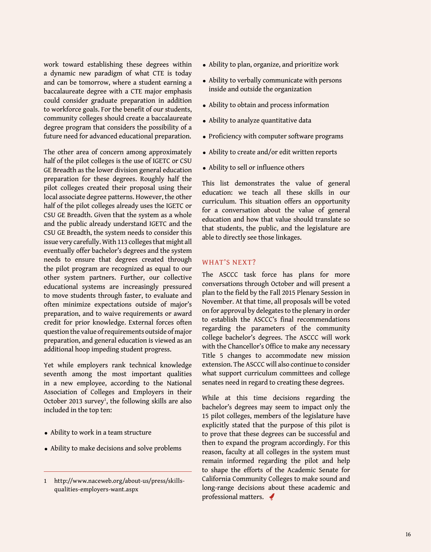work toward establishing these degrees within a dynamic new paradigm of what CTE is today and can be tomorrow, where a student earning a baccalaureate degree with a CTE major emphasis could consider graduate preparation in addition to workforce goals. For the benefit of our students, community colleges should create a baccalaureate degree program that considers the possibility of a future need for advanced educational preparation.

The other area of concern among approximately half of the pilot colleges is the use of IGETC or CSU GE Breadth as the lower division general education preparation for these degrees. Roughly half the pilot colleges created their proposal using their local associate degree patterns. However, the other half of the pilot colleges already uses the IGETC or CSU GE Breadth. Given that the system as a whole and the public already understand IGETC and the CSU GE Breadth, the system needs to consider this issue very carefully. With 113 colleges that might all eventually offer bachelor's degrees and the system needs to ensure that degrees created through the pilot program are recognized as equal to our other system partners. Further, our collective educational systems are increasingly pressured to move students through faster, to evaluate and often minimize expectations outside of major's preparation, and to waive requirements or award credit for prior knowledge. External forces often question the value of requirements outside of major preparation, and general education is viewed as an additional hoop impeding student progress.

Yet while employers rank technical knowledge seventh among the most important qualities in a new employee, according to the National Association of Colleges and Employers in their October 2013 survey<sup>1</sup>, the following skills are also included in the top ten:

- Ability to work in a team structure
- Ability to make decisions and solve problems
- Ability to plan, organize, and prioritize work
- Ability to verbally communicate with persons inside and outside the organization
- Ability to obtain and process information
- Ability to analyze quantitative data
- Proficiency with computer software programs
- Ability to create and/or edit written reports
- Ability to sell or influence others

This list demonstrates the value of general education: we teach all these skills in our curriculum. This situation offers an opportunity for a conversation about the value of general education and how that value should translate so that students, the public, and the legislature are able to directly see those linkages.

#### WHAT'S NEXT?

The ASCCC task force has plans for more conversations through October and will present a plan to the field by the Fall 2015 Plenary Session in November. At that time, all proposals will be voted on for approval by delegates to the plenary in order to establish the ASCCC's final recommendations regarding the parameters of the community college bachelor's degrees. The ASCCC will work with the Chancellor's Office to make any necessary Title 5 changes to accommodate new mission extension. The ASCCC will also continue to consider what support curriculum committees and college senates need in regard to creating these degrees.

While at this time decisions regarding the bachelor's degrees may seem to impact only the 15 pilot colleges, members of the legislature have explicitly stated that the purpose of this pilot is to prove that these degrees can be successful and then to expand the program accordingly. For this reason, faculty at all colleges in the system must remain informed regarding the pilot and help to shape the efforts of the Academic Senate for California Community Colleges to make sound and long-range decisions about these academic and professional matters.

<sup>1</sup> http://www.naceweb.org/about-us/press/skillsqualities-employers-want.aspx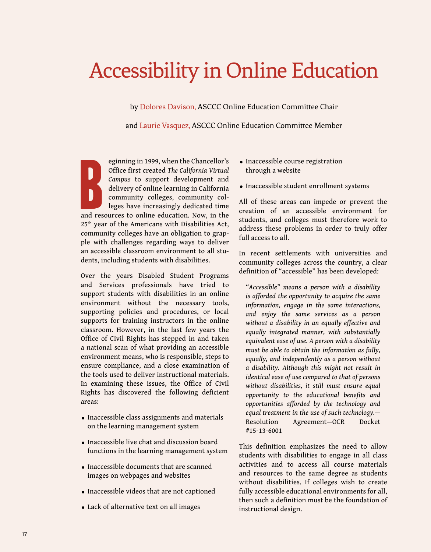# <span id="page-17-0"></span>Accessibility in Online Education

by Dolores Davison, ASCCC Online Education Committee Chair

and Laurie Vasquez, ASCCC Online Education Committee Member

eginning in 1999, when the Chancellor's<br>
Office first created *The California Virtual*<br> *Campus* to support development and<br>
delivery of online learning in California<br>
community colleges, community colleges<br>
have increasin eginning in 1999, when the Chancellor's Office first created *The California Virtual Campus* to support development and delivery of online learning in California community colleges, community colleges have increasingly dedicated time 25th year of the Americans with Disabilities Act, community colleges have an obligation to grapple with challenges regarding ways to deliver an accessible classroom environment to all students, including students with disabilities.

Over the years Disabled Student Programs and Services professionals have tried to support students with disabilities in an online environment without the necessary tools, supporting policies and procedures, or local supports for training instructors in the online classroom. However, in the last few years the Office of Civil Rights has stepped in and taken a national scan of what providing an accessible environment means, who is responsible, steps to ensure compliance, and a close examination of the tools used to deliver instructional materials. In examining these issues, the Office of Civil Rights has discovered the following deficient areas:

- Inaccessible class assignments and materials on the learning management system
- Inaccessible live chat and discussion board functions in the learning management system
- Inaccessible documents that are scanned images on webpages and websites
- Inaccessible videos that are not captioned
- Lack of alternative text on all images
- Inaccessible course registration through a website
- Inaccessible student enrollment systems

All of these areas can impede or prevent the creation of an accessible environment for students, and colleges must therefore work to address these problems in order to truly offer full access to all.

In recent settlements with universities and community colleges across the country, a clear definition of "accessible" has been developed:

*"Accessible" means a person with a disability is afforded the opportunity to acquire the same information, engage in the same interactions, and enjoy the same services as a person without a disability in an equally effective and equally integrated manner, with substantially equivalent ease of use. A person with a disability must be able to obtain the information as fully, equally, and independently as a person without a disability. Although this might not result in identical ease of use compared to that of persons without disabilities, it still must ensure equal opportunity to the educational benefits and opportunities afforded by the technology and equal treatment in the use of such technology.*— Resolution Agreement—OCR Docket #15-13-6001

This definition emphasizes the need to allow students with disabilities to engage in all class activities and to access all course materials and resources to the same degree as students without disabilities. If colleges wish to create fully accessible educational environments for all, then such a definition must be the foundation of instructional design.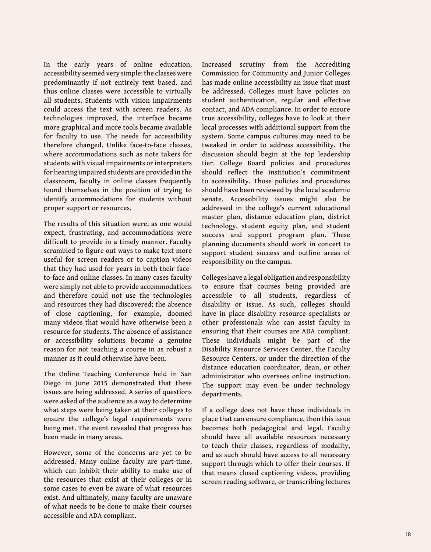In the early years of online education, accessibility seemed very simple: the classes were predominantly if not entirely text based, and thus online classes were accessible to virtually all students. Students with vision impairments could access the text with screen readers. As technologies improved, the interface became more graphical and more tools became available for faculty to use. The needs for accessibility therefore changed. Unlike face-to-face classes, where accommodations such as note takers for students with visual impairments or interpreters for hearing impaired students are provided in the classroom, faculty in online classes frequently found themselves in the position of trying to identify accommodations for students without proper support or resources.

The results of this situation were, as one would expect, frustrating, and accommodations were difficult to provide in a timely manner. Faculty scrambled to figure out ways to make text more useful for screen readers or to caption videos that they had used for years in both their faceto-face and online classes. In many cases faculty were simply not able to provide accommodations and therefore could not use the technologies and resources they had discovered; the absence of close captioning, for example, doomed many videos that would have otherwise been a resource for students. The absence of assistance or accessibility solutions became a genuine reason for not teaching a course in as robust a manner as it could otherwise have been.

The Online Teaching Conference held in San Diego in June 2015 demonstrated that these issues are being addressed. A series of questions were asked of the audience as a way to determine what steps were being taken at their colleges to ensure the college's legal requirements were being met. The event revealed that progress has been made in many areas.

However, some of the concerns are yet to be addressed. Many online faculty are part-time, which can inhibit their ability to make use of the resources that exist at their colleges or in some cases to even be aware of what resources exist. And ultimately, many faculty are unaware of what needs to be done to make their courses accessible and ADA compliant.

Increased scrutiny from the Accrediting Commission for Community and Junior Colleges has made online accessibility an issue that must be addressed. Colleges must have policies on student authentication, regular and effective contact, and ADA compliance. In order to ensure true accessibility, colleges have to look at their local processes with additional support from the system. Some campus cultures may need to be tweaked in order to address accessibility. The discussion should begin at the top leadership tier. College Board policies and procedures should reflect the institution's commitment to accessibility. Those policies and procedures should have been reviewed by the local academic senate. Accessibility issues might also be addressed in the college's current educational master plan, distance education plan, district technology, student equity plan, and student success and support program plan. These planning documents should work in concert to support student success and outline areas of responsibility on the campus.

Colleges have a legal obligation and responsibility to ensure that courses being provided are accessible to all students, regardless of disability or issue. As such, colleges should have in place disability resource specialists or other professionals who can assist faculty in ensuring that their courses are ADA compliant. These individuals might be part of the Disability Resource Services Center, the Faculty Resource Centers, or under the direction of the distance education coordinator, dean, or other administrator who oversees online instruction. The support may even be under technology departments.

If a college does not have these individuals in place that can ensure compliance, then this issue becomes both pedagogical and legal. Faculty should have all available resources necessary to teach their classes, regardless of modality, and as such should have access to all necessary support through which to offer their courses. If that means closed captioning videos, providing screen reading software, or transcribing lectures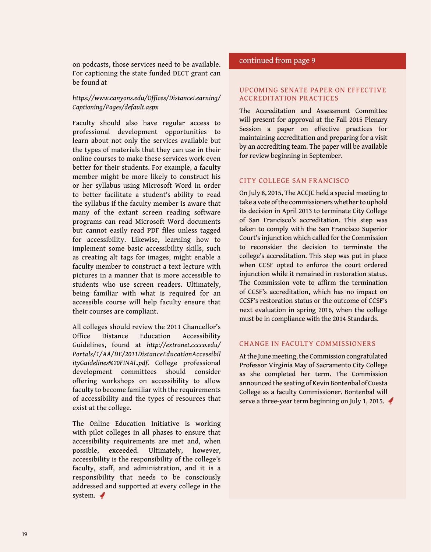on podcasts, those services need to be available. For captioning the state funded DECT grant can be found at

#### *[https://www.canyons.edu/Offices/DistanceLearning/](https://www.canyons.edu/Offices/DistanceLearning/Captioning/Pages/default.aspx) [Captioning/Pages/default.aspx](https://www.canyons.edu/Offices/DistanceLearning/Captioning/Pages/default.aspx)*

Faculty should also have regular access to professional development opportunities to learn about not only the services available but the types of materials that they can use in their online courses to make these services work even better for their students. For example, a faculty member might be more likely to construct his or her syllabus using Microsoft Word in order to better facilitate a student's ability to read the syllabus if the faculty member is aware that many of the extant screen reading software programs can read Microsoft Word documents but cannot easily read PDF files unless tagged for accessibility. Likewise, learning how to implement some basic accessibility skills, such as creating alt tags for images, might enable a faculty member to construct a text lecture with pictures in a manner that is more accessible to students who use screen readers. Ultimately, being familiar with what is required for an accessible course will help faculty ensure that their courses are compliant.

All colleges should review the 2011 Chancellor's Office Distance Education Accessibility Guidelines, found at *[http://extranet.cccco.edu/](http://extranet.cccco.edu/Portals/1/AA/DE/2011DistanceEducationAccessibilityGuidelines%20FINAL.pdf) [Portals/1/AA/DE/2011DistanceEducationAccessibil](http://extranet.cccco.edu/Portals/1/AA/DE/2011DistanceEducationAccessibilityGuidelines%20FINAL.pdf) [ityGuidelines%20FINAL.pdf](http://extranet.cccco.edu/Portals/1/AA/DE/2011DistanceEducationAccessibilityGuidelines%20FINAL.pdf).* College professional development committees should consider offering workshops on accessibility to allow faculty to become familiar with the requirements of accessibility and the types of resources that exist at the college.

The Online Education Initiative is working with pilot colleges in all phases to ensure that accessibility requirements are met and, when possible, exceeded. Ultimately, however, accessibility is the responsibility of the college's faculty, staff, and administration, and it is a responsibility that needs to be consciously addressed and supported at every college in the system.

#### continued from page 9

#### Upcoming Senate Paper on Effective Accreditation Practices

The Accreditation and Assessment Committee will present for approval at the Fall 2015 Plenary Session a paper on effective practices for maintaining accreditation and preparing for a visit by an accrediting team. The paper will be available for review beginning in September.

#### City College San Francisco

On July 8, 2015, The ACCJC held a special meeting to take a vote of the commissioners whether to uphold its decision in April 2013 to terminate City College of San Francisco's accreditation. This step was taken to comply with the San Francisco Superior Court's injunction which called for the Commission to reconsider the decision to terminate the college's accreditation. This step was put in place when CCSF opted to enforce the court ordered injunction while it remained in restoration status. The Commission vote to affirm the termination of CCSF's accreditation, which has no impact on CCSF's restoration status or the outcome of CCSF's next evaluation in spring 2016, when the college must be in compliance with the 2014 Standards.

#### Change in Faculty Commissioners

At the June meeting, the Commission congratulated Professor Virginia May of Sacramento City College as she completed her term. The Commission announced the seating of Kevin Bontenbal of Cuesta College as a faculty Commissioner. Bontenbal will serve a three-year term beginning on July 1, 2015.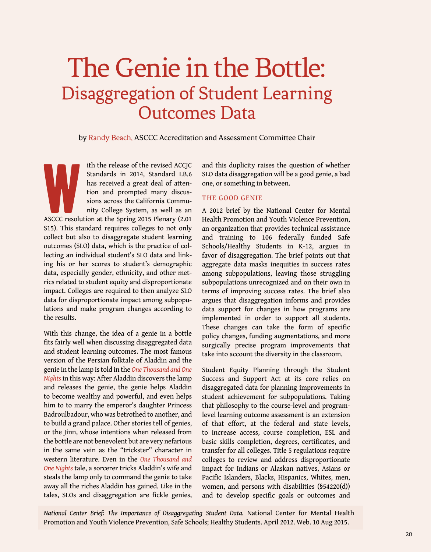# The Genie in the Bottle: Disaggregation of Student Learning Outcomes Data

by Randy Beach, ASCCC Accreditation and Assessment Committee Chair

W ith the release of the revised ACCJC Standards in 2014, Standard I.B.6 has received a great deal of attention and prompted many discussions across the California Community College System, as well as an ASCCC resolution at the Spring 2015 Plenary (2.01 S15). This standard requires colleges to not only collect but also to disaggregate student learning outcomes (SLO) data, which is the practice of collecting an individual student's SLO data and linking his or her scores to student's demographic data, especially gender, ethnicity, and other metrics related to student equity and disproportionate impact. Colleges are required to then analyze SLO data for disproportionate impact among subpopulations and make program changes according to the results.

With this change, the idea of a genie in a bottle fits fairly well when discussing disaggregated data and student learning outcomes. The most famous version of the Persian folktale of Aladdin and the genie in the lamp is told in the *One Thousand and One Nights* in this way: After Aladdin discovers the lamp and releases the genie, the genie helps Aladdin to become wealthy and powerful, and even helps him to to marry the emperor's daughter Princess [Badroulbadour](https://en.wikipedia.org/wiki/Badroulbadour), who was betrothed to another, and to build a grand palace. Other stories tell of genies, or the Jinn, whose intentions when released from the bottle are not benevolent but are very nefarious in the same vein as the "trickster" character in western literature. Even in the *One Thousand and One Nights* tale, a sorcerer tricks Aladdin's wife and steals the lamp only to command the genie to take away all the riches Aladdin has gained. Like in the tales, SLOs and disaggregation are fickle genies, and this duplicity raises the question of whether SLO data disaggregation will be a good genie, a bad one, or something in between.

#### The Good Genie

A 2012 brief by the National Center for Mental Health Promotion and Youth Violence Prevention, an organization that provides technical assistance and training to 106 federally funded Safe Schools/Healthy Students in K-12, argues in favor of disaggregation. The brief points out that aggregate data masks inequities in success rates among subpopulations, leaving those struggling subpopulations unrecognized and on their own in terms of improving success rates. The brief also argues that disaggregation informs and provides data support for changes in how programs are implemented in order to support all students. These changes can take the form of specific policy changes, funding augmentations, and more surgically precise program improvements that take into account the diversity in the classroom.

Student Equity Planning through the Student Success and Support Act at its core relies on disaggregated data for planning improvements in student achievement for subpopulations. Taking that philosophy to the course-level and programlevel learning outcome assessment is an extension of that effort, at the federal and state levels, to increase access, course completion, ESL and basic skills completion, degrees, certificates, and transfer for all colleges. Title 5 regulations require colleges to review and address disproportionate impact for Indians or Alaskan natives, Asians or Pacific Islanders, Blacks, Hispanics, Whites, men, women, and persons with disabilities (§54220(d)) and to develop specific goals or outcomes and

*National Center Brief: The Importance of Disaggregating Student Data.* National Center for Mental Health Promotion and Youth Violence Prevention, Safe Schools; Healthy Students. April 2012. Web. 10 Aug 2015.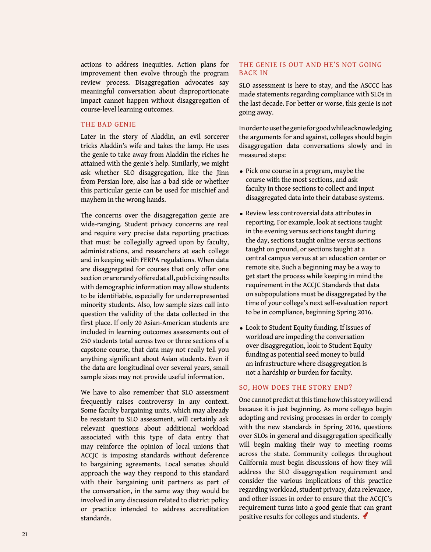actions to address inequities. Action plans for improvement then evolve through the program review process. Disaggregation advocates say meaningful conversation about disproportionate impact cannot happen without disaggregation of course-level learning outcomes.

#### The Bad Genie

Later in the story of Aladdin, an evil sorcerer tricks Aladdin's wife and takes the lamp. He uses the genie to take away from Aladdin the riches he attained with the genie's help. Similarly, we might ask whether SLO disaggregation, like the Jinn from Persian lore, also has a bad side or whether this particular genie can be used for mischief and mayhem in the wrong hands.

The concerns over the disaggregation genie are wide-ranging. Student privacy concerns are real and require very precise data reporting practices that must be collegially agreed upon by faculty, administrations, and researchers at each college and in keeping with FERPA regulations. When data are disaggregated for courses that only offer one section or are rarely offered at all, publicizing results with demographic information may allow students to be identifiable, especially for underrepresented minority students. Also, low sample sizes call into question the validity of the data collected in the first place. If only 20 Asian-American students are included in learning outcomes assessments out of 250 students total across two or three sections of a capstone course, that data may not really tell you anything significant about Asian students. Even if the data are longitudinal over several years, small sample sizes may not provide useful information.

We have to also remember that SLO assessment frequently raises controversy in any context. Some faculty bargaining units, which may already be resistant to SLO assessment, will certainly ask relevant questions about additional workload associated with this type of data entry that may reinforce the opinion of local unions that ACCJC is imposing standards without deference to bargaining agreements. Local senates should approach the way they respond to this standard with their bargaining unit partners as part of the conversation, in the same way they would be involved in any discussion related to district policy or practice intended to address accreditation standards.

#### THE GENIE IS OUT AND HE'S NOT GOING Back In

SLO assessment is here to stay, and the ASCCC has made statements regarding compliance with SLOs in the last decade. For better or worse, this genie is not going away.

In order to use the genie for good while acknowledging the arguments for and against, colleges should begin disaggregation data conversations slowly and in measured steps:

- Pick one course in a program, maybe the course with the most sections, and ask faculty in those sections to collect and input disaggregated data into their database systems.
- Review less controversial data attributes in reporting. For example, look at sections taught in the evening versus sections taught during the day, sections taught online versus sections taught on ground, or sections taught at a central campus versus at an education center or remote site. Such a beginning may be a way to get start the process while keeping in mind the requirement in the ACCJC Standards that data on subpopulations must be disaggregated by the time of your college's next self-evaluation report to be in compliance, beginning Spring 2016.
- Look to Student Equity funding. If issues of workload are impeding the conversation over disaggregation, look to Student Equity funding as potential seed money to build an infrastructure where disaggregation is not a hardship or burden for faculty.

#### SO, HOW DOES THE STORY END?

One cannot predict at this time how this story will end because it is just beginning. As more colleges begin adopting and revising processes in order to comply with the new standards in Spring 2016, questions over SLOs in general and disaggregation specifically will begin making their way to meeting rooms across the state. Community colleges throughout California must begin discussions of how they will address the SLO disaggregation requirement and consider the various implications of this practice regarding workload, student privacy, data relevance, and other issues in order to ensure that the ACCJC's requirement turns into a good genie that can grant positive results for colleges and students.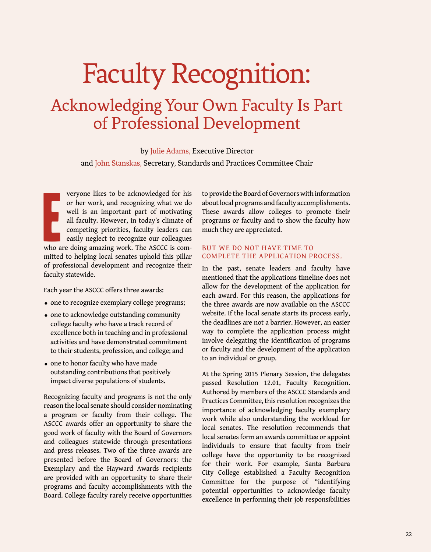# <span id="page-22-0"></span>Faculty Recognition:

### Acknowledging Your Own Faculty Is Part of Professional Development

by Julie Adams, Executive Director

and John Stanskas, Secretary, Standards and Practices Committee Chair

E<br>Who a veryone likes to be acknowledged for his or her work, and recognizing what we do well is an important part of motivating all faculty. However, in today's climate of competing priorities, faculty leaders can easily neglect to recognize our colleagues who are doing amazing work. The ASCCC is committed to helping local senates uphold this pillar of professional development and recognize their faculty statewide.

Each year the ASCCC offers three awards:

- one to recognize exemplary college programs;
- one to acknowledge outstanding community college faculty who have a track record of excellence both in teaching and in professional activities and have demonstrated commitment to their students, profession, and college; and
- one to honor faculty who have made outstanding contributions that positively impact diverse populations of students.

Recognizing faculty and programs is not the only reason the local senate should consider nominating a program or faculty from their college. The ASCCC awards offer an opportunity to share the good work of faculty with the Board of Governors and colleagues statewide through presentations and press releases. Two of the three awards are presented before the Board of Governors: the Exemplary and the Hayward Awards recipients are provided with an opportunity to share their programs and faculty accomplishments with the Board. College faculty rarely receive opportunities

to provide the Board of Governors with information about local programs and faculty accomplishments. These awards allow colleges to promote their programs or faculty and to show the faculty how much they are appreciated.

#### But we do not have time to complete the application process.

In the past, senate leaders and faculty have mentioned that the applications timeline does not allow for the development of the application for each award. For this reason, the applications for the three awards are now available on the ASCCC website. If the local senate starts its process early, the deadlines are not a barrier. However, an easier way to complete the application process might involve delegating the identification of programs or faculty and the development of the application to an individual or group.

At the Spring 2015 Plenary Session, the delegates passed Resolution 12.01, Faculty Recognition. Authored by members of the ASCCC Standards and Practices Committee, this resolution recognizes the importance of acknowledging faculty exemplary work while also understanding the workload for local senates. The resolution recommends that local senates form an awards committee or appoint individuals to ensure that faculty from their college have the opportunity to be recognized for their work. For example, Santa Barbara City College established a Faculty Recognition Committee for the purpose of "identifying potential opportunities to acknowledge faculty excellence in performing their job responsibilities